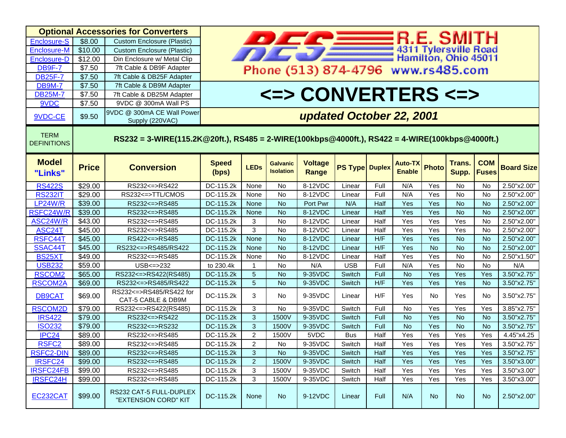| <b>Optional Accessories for Converters</b> |                                                                                                |                                                 |                                                                                                                  |                |                                     |                                |                       |      |                                 |              |                 |                            |                   |
|--------------------------------------------|------------------------------------------------------------------------------------------------|-------------------------------------------------|------------------------------------------------------------------------------------------------------------------|----------------|-------------------------------------|--------------------------------|-----------------------|------|---------------------------------|--------------|-----------------|----------------------------|-------------------|
| <b>Enclosure-S</b>                         | \$8.00                                                                                         | <b>Custom Enclosure (Plastic)</b>               |                                                                                                                  |                |                                     |                                |                       |      |                                 |              |                 |                            |                   |
| <b>Enclosure-M</b>                         | \$10.00                                                                                        | <b>Custom Enclosure (Plastic)</b>               |                                                                                                                  |                |                                     |                                |                       |      |                                 |              |                 |                            |                   |
| Enclosure-D                                | \$12.00                                                                                        | Din Enclosure w/ Metal Clip                     | <b>PARTITY B.E. SMITH</b><br>4311 Tylersville Road<br>Hamilton, Ohio 45011<br>Phone (513) 874-4796 www.rs485.com |                |                                     |                                |                       |      |                                 |              |                 |                            |                   |
| <b>DB9F-7</b>                              | \$7.50                                                                                         | 7ft Cable & DB9F Adapter                        |                                                                                                                  |                |                                     |                                |                       |      |                                 |              |                 |                            |                   |
| <b>DB25F-7</b>                             | \$7.50                                                                                         | 7ft Cable & DB25F Adapter                       |                                                                                                                  |                |                                     |                                |                       |      |                                 |              |                 |                            |                   |
| <b>DB9M-7</b>                              | \$7.50                                                                                         | 7ft Cable & DB9M Adapter                        |                                                                                                                  |                |                                     |                                |                       |      |                                 |              |                 |                            |                   |
| <b>DB25M-7</b>                             | \$7.50                                                                                         | 7ft Cable & DB25M Adapter                       |                                                                                                                  |                |                                     |                                |                       |      |                                 |              |                 |                            |                   |
| 9VDC                                       | \$7.50                                                                                         | 9VDC @ 300mA Wall PS                            | <=> CONVERTERS <=>                                                                                               |                |                                     |                                |                       |      |                                 |              |                 |                            |                   |
|                                            |                                                                                                | 9VDC @ 300mA CE Wall Power                      |                                                                                                                  |                |                                     |                                |                       |      |                                 |              |                 |                            |                   |
| 9VDC-CE                                    | \$9.50                                                                                         | Supply (220VAC)                                 | updated October 22, 2001                                                                                         |                |                                     |                                |                       |      |                                 |              |                 |                            |                   |
| <b>TERM</b><br><b>DEFINITIONS</b>          | RS232 = 3-WIRE(115.2K@20ft.), RS485 = 2-WIRE(100kbps@4000ft.), RS422 = 4-WIRE(100kbps@4000ft.) |                                                 |                                                                                                                  |                |                                     |                                |                       |      |                                 |              |                 |                            |                   |
| <b>Model</b><br>"Links"                    | <b>Price</b>                                                                                   | <b>Conversion</b>                               | <b>Speed</b><br>(bps)                                                                                            | <b>LEDs</b>    | <b>Galvanic</b><br><b>Isolation</b> | <b>Voltage</b><br><b>Range</b> | <b>PS Type Duplex</b> |      | <b>Auto-TX</b><br><b>Enable</b> | <b>Photo</b> | Trans.<br>Supp. | <b>COM</b><br><b>Fuses</b> | <b>Board Size</b> |
| <b>RS422S</b>                              | \$29.00                                                                                        | RS232 <= > RS422                                | DC-115.2k                                                                                                        | None           | No                                  | 8-12VDC                        | Linear                | Full | N/A                             | Yes          | No              | No                         | 2.50"x2.00"       |
| <b>RS232IT</b>                             | \$29.00                                                                                        | RS232 <= > TTL/CMOS                             | DC-115.2k                                                                                                        | None           | <b>No</b>                           | 8-12VDC                        | Linear                | Full | N/A                             | Yes          | No              | <b>No</b>                  | 2.50"x2.00"       |
| <b>LP24W/R</b>                             | \$39.00                                                                                        | RS232 <= > RS485                                | DC-115.2k                                                                                                        | None           | No                                  | Port Pwr                       | N/A                   | Half | Yes                             | Yes          | N <sub>o</sub>  | No                         | 2.50"x2.00"       |
| RSFC24W/R                                  | \$39.00                                                                                        | RS232 <= > RS485                                | DC-115.2k                                                                                                        | None           | <b>No</b>                           | 8-12VDC                        | Linear                | Half | Yes                             | Yes          | <b>No</b>       | <b>No</b>                  | 2.50"x2.00"       |
| ASC24W/R                                   | \$43.00                                                                                        | RS232 <= > RS485                                | DC-115.2k                                                                                                        | 3              | <b>No</b>                           | 8-12VDC                        | Linear                | Half | Yes                             | Yes          | Yes             | <b>No</b>                  | 2.50"x2.00"       |
| ASC24T                                     | \$45.00                                                                                        | RS232 <= > RS485                                | DC-115.2k                                                                                                        | 3              | <b>No</b>                           | 8-12VDC                        | Linear                | Half | Yes                             | Yes          | Yes             | <b>No</b>                  | 2.50"x2.00"       |
| RSFC44T                                    | \$45.00                                                                                        | RS422 <= > RS485                                | DC-115.2k                                                                                                        | None           | <b>No</b>                           | 8-12VDC                        | Linear                | H/F  | Yes                             | Yes          | <b>No</b>       | <b>No</b>                  | 2.50"x2.00"       |
| SSAC44T                                    | \$45.00                                                                                        | RS232 <= > RS485/RS422                          | DC-115.2k                                                                                                        | None           | <b>No</b>                           | 8-12VDC                        | Linear                | H/F  | Yes                             | <b>No</b>    | <b>No</b>       | <b>No</b>                  | 2.50"x2.00"       |
| BS25XT                                     | \$49.00                                                                                        | RS232 <= > RS485                                | DC-115.2k                                                                                                        | None           | <b>No</b>                           | 8-12VDC                        | Linear                | Half | Yes                             | Yes          | <b>No</b>       | <b>No</b>                  | 2.50"x1.50"       |
| <b>USB232</b>                              | \$59.00                                                                                        | $USB \leq z 232$                                | to 230.4k                                                                                                        | $\mathbf{1}$   | No                                  | N/A                            | <b>USB</b>            | Full | N/A                             | Yes          | <b>No</b>       | <b>No</b>                  | N/A               |
| <b>RSCOM2</b>                              | \$65.00                                                                                        | RS232 <= > RS422(RS485)                         | DC-115.2k                                                                                                        | $\overline{5}$ | <b>No</b>                           | 9-35VDC                        | Switch                | Full | <b>No</b>                       | Yes          | Yes             | Yes                        | 3.50"x2.75"       |
| <b>RSCOM2A</b>                             | \$69.00                                                                                        | RS232 <= > RS485/RS422                          | DC-115.2k                                                                                                        | $\overline{5}$ | <b>No</b>                           | 9-35VDC                        | Switch                | H/F  | Yes                             | Yes          | Yes             | No                         | 3.50"x2.75"       |
| <b>DB9CAT</b>                              | \$69.00                                                                                        | RS232<=>RS485/RS422 for<br>CAT-5 CABLE & DB9M   | DC-115.2k                                                                                                        | 3              | No.                                 | 9-35VDC                        | Linear                | H/F  | Yes                             | No.          | Yes             | No.                        | 3.50"x2.75"       |
| <b>RSCOM2D</b>                             | \$79.00                                                                                        | RS232 <= > RS422(RS485)                         | DC-115.2k                                                                                                        | 3              | No                                  | 9-35VDC                        | Switch                | Full | No                              | Yes          | Yes             | Yes                        | 3.85"x2.75"       |
| <b>IRS422</b>                              | \$79.00                                                                                        | RS232 <= > RS422                                | DC-115.2k                                                                                                        | 3              | 1500V                               | 9-35VDC                        | Switch                | Full | <b>No</b>                       | Yes          | <b>No</b>       | No                         | 3.50"x2.75"       |
| <b>ISO232</b>                              | \$79.00                                                                                        | RS232 <= > RS232                                | DC-115.2k                                                                                                        | 3              | 1500V                               | 9-35VDC                        | Switch                | Full | <b>No</b>                       | Yes          | <b>No</b>       | No                         | 3.50"x2.75"       |
| IPC <sub>24</sub>                          | \$89.00                                                                                        | RS232 <= > RS485                                | DC-115.2k                                                                                                        | $\overline{2}$ | 1500V                               | 5VDC                           | <b>Bus</b>            | Half | Yes                             | Yes          | Yes             | Yes                        | 4.45"x4.25        |
| RSFC <sub>2</sub>                          | \$89.00                                                                                        | RS232<=>RS485                                   | DC-115.2k                                                                                                        | $\overline{2}$ | No.                                 | 9-35VDC                        | Switch                | Half | Yes                             | Yes          | Yes             | Yes                        | 3.50''x2.75''     |
| <b>RSFC2-DIN</b>                           | \$89.00                                                                                        | RS232 <= > RS485                                | DC-115.2k                                                                                                        | 3              | <b>No</b>                           | 9-35VDC                        | Switch                | Half | Yes                             | Yes          | Yes             | Yes                        | 3.50"x2.75"       |
| IRSFC24                                    | \$99.00                                                                                        | RS232 <= > RS485                                | DC-115.2k                                                                                                        | $\overline{2}$ | 1500V                               | 9-35VDC                        | Switch                | Half | Yes                             | Yes          | Yes             | Yes                        | 3.50"x3.00"       |
| <b>IRSFC24FB</b>                           | \$99.00                                                                                        | RS232 <= > RS485                                | DC-115.2k                                                                                                        | 3              | 1500V                               | 9-35VDC                        | Switch                | Half | Yes                             | Yes          | Yes             | Yes                        | 3.50"x3.00"       |
| IRSFC24H                                   | \$99.00                                                                                        | RS232 <= > RS485                                | DC-115.2k                                                                                                        | 3              | 1500V                               | 9-35VDC                        | Switch                | Half | Yes                             | Yes          | Yes             | Yes                        | 3.50"x3.00"       |
| EC232CAT                                   | \$99.00                                                                                        | RS232 CAT-5 FULL-DUPLEX<br>"EXTENSION CORD" KIT | DC-115.2k                                                                                                        | None           | No                                  | 9-12VDC                        | Linear                | Full | N/A                             | No           | No              | N <sub>o</sub>             | 2.50"x2.00"       |